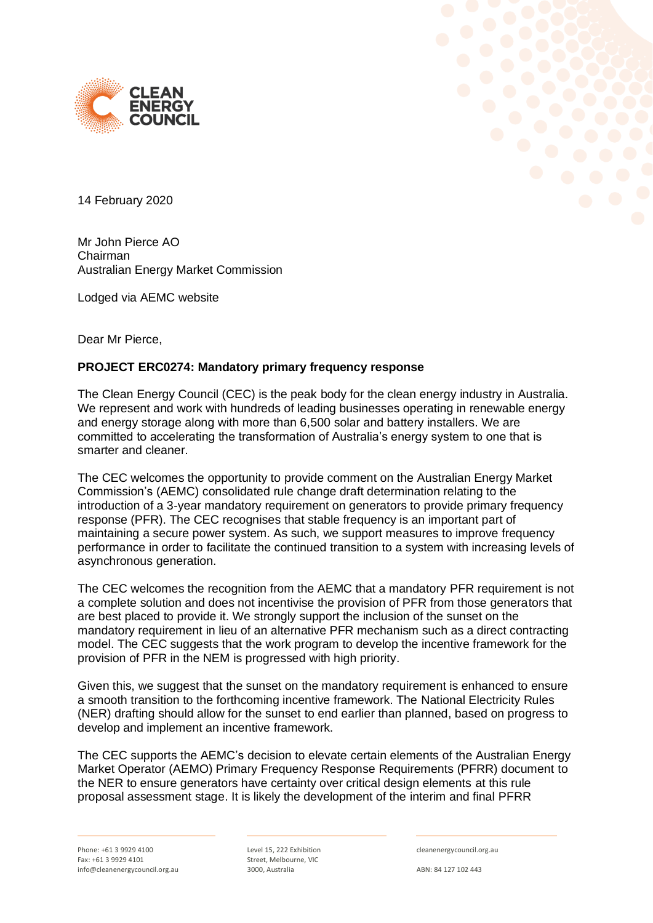



14 February 2020

Mr John Pierce AO Chairman Australian Energy Market Commission

Lodged via AEMC website

Dear Mr Pierce,

### **PROJECT ERC0274: Mandatory primary frequency response**

The Clean Energy Council (CEC) is the peak body for the clean energy industry in Australia. We represent and work with hundreds of leading businesses operating in renewable energy and energy storage along with more than 6,500 solar and battery installers. We are committed to accelerating the transformation of Australia's energy system to one that is smarter and cleaner.

The CEC welcomes the opportunity to provide comment on the Australian Energy Market Commission's (AEMC) consolidated rule change draft determination relating to the introduction of a 3-year mandatory requirement on generators to provide primary frequency response (PFR). The CEC recognises that stable frequency is an important part of maintaining a secure power system. As such, we support measures to improve frequency performance in order to facilitate the continued transition to a system with increasing levels of asynchronous generation.

The CEC welcomes the recognition from the AEMC that a mandatory PFR requirement is not a complete solution and does not incentivise the provision of PFR from those generators that are best placed to provide it. We strongly support the inclusion of the sunset on the mandatory requirement in lieu of an alternative PFR mechanism such as a direct contracting model. The CEC suggests that the work program to develop the incentive framework for the provision of PFR in the NEM is progressed with high priority.

Given this, we suggest that the sunset on the mandatory requirement is enhanced to ensure a smooth transition to the forthcoming incentive framework. The National Electricity Rules (NER) drafting should allow for the sunset to end earlier than planned, based on progress to develop and implement an incentive framework.

The CEC supports the AEMC's decision to elevate certain elements of the Australian Energy Market Operator (AEMO) Primary Frequency Response Requirements (PFRR) document to the NER to ensure generators have certainty over critical design elements at this rule proposal assessment stage. It is likely the development of the interim and final PFRR

Level 15, 222 Exhibition Street, Melbourne, VIC 3000, Australia

cleanenergycouncil.org.au

ABN: 84 127 102 443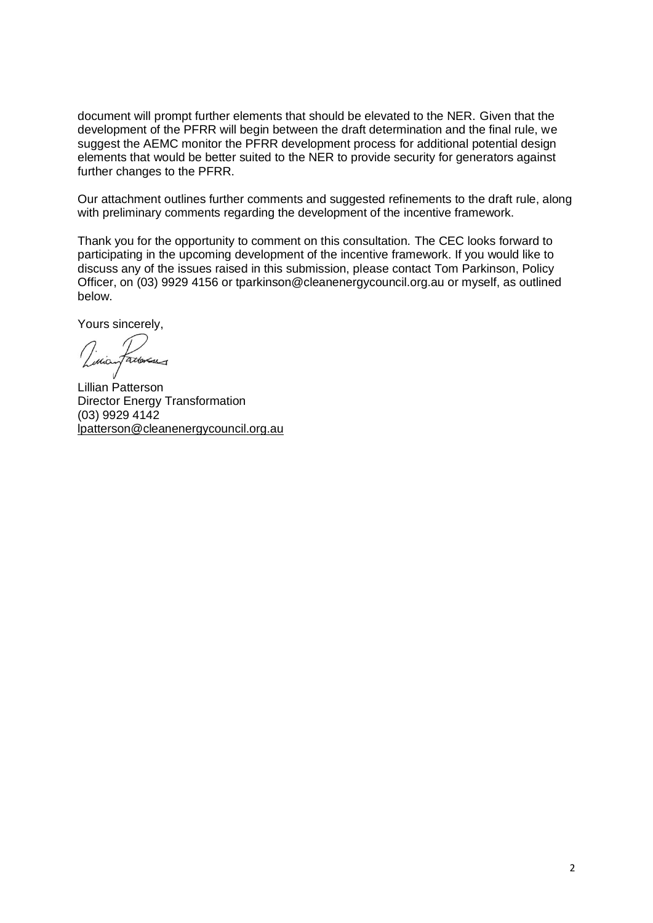document will prompt further elements that should be elevated to the NER. Given that the development of the PFRR will begin between the draft determination and the final rule, we suggest the AEMC monitor the PFRR development process for additional potential design elements that would be better suited to the NER to provide security for generators against further changes to the PFRR.

Our attachment outlines further comments and suggested refinements to the draft rule, along with preliminary comments regarding the development of the incentive framework.

Thank you for the opportunity to comment on this consultation. The CEC looks forward to participating in the upcoming development of the incentive framework. If you would like to discuss any of the issues raised in this submission, please contact Tom Parkinson, Policy Officer, on (03) 9929 4156 or tparkinson@cleanenergycouncil.org.au or myself, as outlined below.

Yours sincerely,

Lillian Patterson Director Energy Transformation (03) 9929 4142 [lpatterson@cleanenergycouncil.org.au](mailto:lpatterson@cleanenergycouncil.org.au)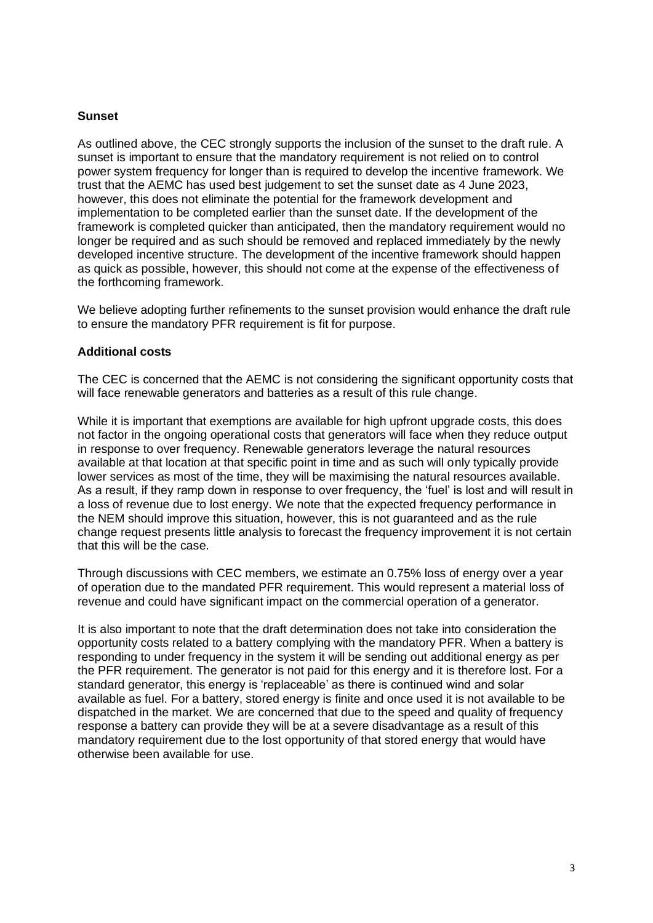## **Sunset**

As outlined above, the CEC strongly supports the inclusion of the sunset to the draft rule. A sunset is important to ensure that the mandatory requirement is not relied on to control power system frequency for longer than is required to develop the incentive framework. We trust that the AEMC has used best judgement to set the sunset date as 4 June 2023, however, this does not eliminate the potential for the framework development and implementation to be completed earlier than the sunset date. If the development of the framework is completed quicker than anticipated, then the mandatory requirement would no longer be required and as such should be removed and replaced immediately by the newly developed incentive structure. The development of the incentive framework should happen as quick as possible, however, this should not come at the expense of the effectiveness of the forthcoming framework.

We believe adopting further refinements to the sunset provision would enhance the draft rule to ensure the mandatory PFR requirement is fit for purpose.

### **Additional costs**

The CEC is concerned that the AEMC is not considering the significant opportunity costs that will face renewable generators and batteries as a result of this rule change.

While it is important that exemptions are available for high upfront upgrade costs, this does not factor in the ongoing operational costs that generators will face when they reduce output in response to over frequency. Renewable generators leverage the natural resources available at that location at that specific point in time and as such will only typically provide lower services as most of the time, they will be maximising the natural resources available. As a result, if they ramp down in response to over frequency, the 'fuel' is lost and will result in a loss of revenue due to lost energy. We note that the expected frequency performance in the NEM should improve this situation, however, this is not guaranteed and as the rule change request presents little analysis to forecast the frequency improvement it is not certain that this will be the case.

Through discussions with CEC members, we estimate an 0.75% loss of energy over a year of operation due to the mandated PFR requirement. This would represent a material loss of revenue and could have significant impact on the commercial operation of a generator.

It is also important to note that the draft determination does not take into consideration the opportunity costs related to a battery complying with the mandatory PFR. When a battery is responding to under frequency in the system it will be sending out additional energy as per the PFR requirement. The generator is not paid for this energy and it is therefore lost. For a standard generator, this energy is 'replaceable' as there is continued wind and solar available as fuel. For a battery, stored energy is finite and once used it is not available to be dispatched in the market. We are concerned that due to the speed and quality of frequency response a battery can provide they will be at a severe disadvantage as a result of this mandatory requirement due to the lost opportunity of that stored energy that would have otherwise been available for use.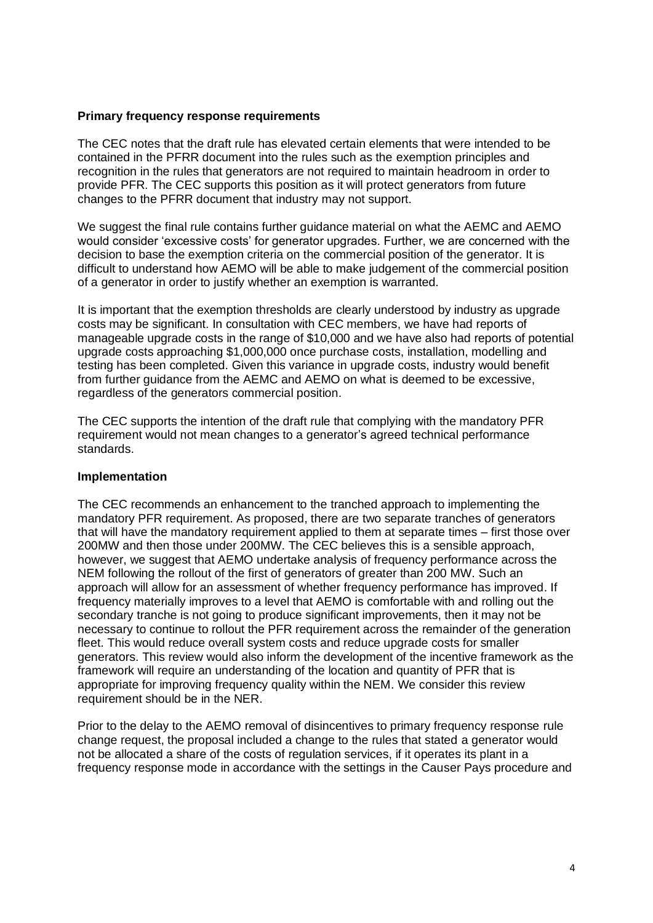#### **Primary frequency response requirements**

The CEC notes that the draft rule has elevated certain elements that were intended to be contained in the PFRR document into the rules such as the exemption principles and recognition in the rules that generators are not required to maintain headroom in order to provide PFR. The CEC supports this position as it will protect generators from future changes to the PFRR document that industry may not support.

We suggest the final rule contains further guidance material on what the AEMC and AEMO would consider 'excessive costs' for generator upgrades. Further, we are concerned with the decision to base the exemption criteria on the commercial position of the generator. It is difficult to understand how AEMO will be able to make judgement of the commercial position of a generator in order to justify whether an exemption is warranted.

It is important that the exemption thresholds are clearly understood by industry as upgrade costs may be significant. In consultation with CEC members, we have had reports of manageable upgrade costs in the range of \$10,000 and we have also had reports of potential upgrade costs approaching \$1,000,000 once purchase costs, installation, modelling and testing has been completed. Given this variance in upgrade costs, industry would benefit from further guidance from the AEMC and AEMO on what is deemed to be excessive, regardless of the generators commercial position.

The CEC supports the intention of the draft rule that complying with the mandatory PFR requirement would not mean changes to a generator's agreed technical performance standards.

#### **Implementation**

The CEC recommends an enhancement to the tranched approach to implementing the mandatory PFR requirement. As proposed, there are two separate tranches of generators that will have the mandatory requirement applied to them at separate times – first those over 200MW and then those under 200MW. The CEC believes this is a sensible approach, however, we suggest that AEMO undertake analysis of frequency performance across the NEM following the rollout of the first of generators of greater than 200 MW. Such an approach will allow for an assessment of whether frequency performance has improved. If frequency materially improves to a level that AEMO is comfortable with and rolling out the secondary tranche is not going to produce significant improvements, then it may not be necessary to continue to rollout the PFR requirement across the remainder of the generation fleet. This would reduce overall system costs and reduce upgrade costs for smaller generators. This review would also inform the development of the incentive framework as the framework will require an understanding of the location and quantity of PFR that is appropriate for improving frequency quality within the NEM. We consider this review requirement should be in the NER.

Prior to the delay to the AEMO removal of disincentives to primary frequency response rule change request, the proposal included a change to the rules that stated a generator would not be allocated a share of the costs of regulation services, if it operates its plant in a frequency response mode in accordance with the settings in the Causer Pays procedure and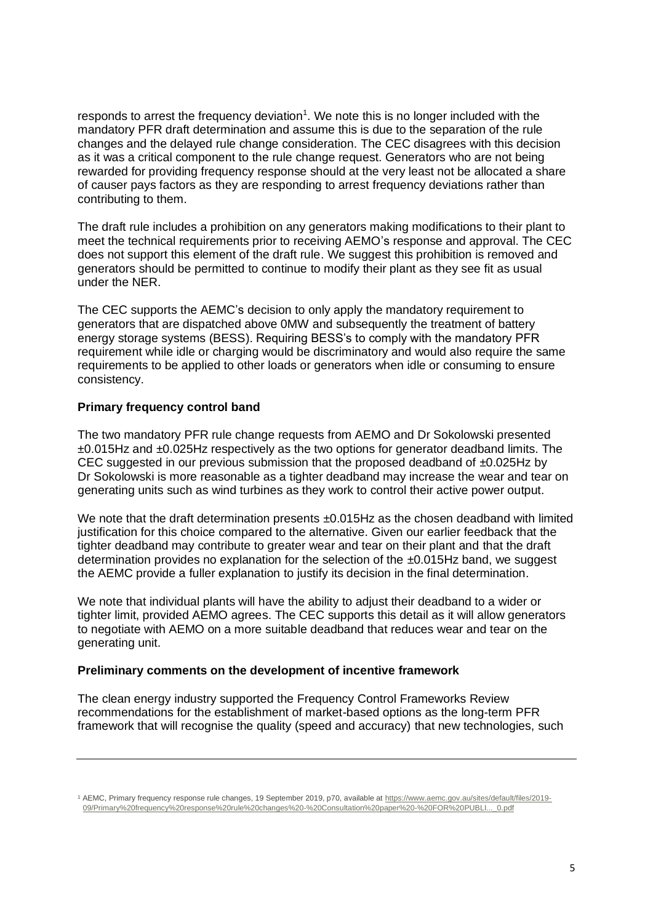responds to arrest the frequency deviation<sup>1</sup>. We note this is no longer included with the mandatory PFR draft determination and assume this is due to the separation of the rule changes and the delayed rule change consideration. The CEC disagrees with this decision as it was a critical component to the rule change request. Generators who are not being rewarded for providing frequency response should at the very least not be allocated a share of causer pays factors as they are responding to arrest frequency deviations rather than contributing to them.

The draft rule includes a prohibition on any generators making modifications to their plant to meet the technical requirements prior to receiving AEMO's response and approval. The CEC does not support this element of the draft rule. We suggest this prohibition is removed and generators should be permitted to continue to modify their plant as they see fit as usual under the NER.

The CEC supports the AEMC's decision to only apply the mandatory requirement to generators that are dispatched above 0MW and subsequently the treatment of battery energy storage systems (BESS). Requiring BESS's to comply with the mandatory PFR requirement while idle or charging would be discriminatory and would also require the same requirements to be applied to other loads or generators when idle or consuming to ensure consistency.

# **Primary frequency control band**

The two mandatory PFR rule change requests from AEMO and Dr Sokolowski presented ±0.015Hz and ±0.025Hz respectively as the two options for generator deadband limits. The CEC suggested in our previous submission that the proposed deadband of  $\pm 0.025$ Hz by Dr Sokolowski is more reasonable as a tighter deadband may increase the wear and tear on generating units such as wind turbines as they work to control their active power output.

We note that the draft determination presents  $\pm 0.015$ Hz as the chosen deadband with limited justification for this choice compared to the alternative. Given our earlier feedback that the tighter deadband may contribute to greater wear and tear on their plant and that the draft determination provides no explanation for the selection of the  $\pm 0.015$ Hz band, we suggest the AEMC provide a fuller explanation to justify its decision in the final determination.

We note that individual plants will have the ability to adjust their deadband to a wider or tighter limit, provided AEMO agrees. The CEC supports this detail as it will allow generators to negotiate with AEMO on a more suitable deadband that reduces wear and tear on the generating unit.

## **Preliminary comments on the development of incentive framework**

The clean energy industry supported the Frequency Control Frameworks Review recommendations for the establishment of market-based options as the long-term PFR framework that will recognise the quality (speed and accuracy) that new technologies, such

<sup>1</sup> AEMC, Primary frequency response rule changes, 19 September 2019, p70, available at [https://www.aemc.gov.au/sites/default/files/2019-](https://www.aemc.gov.au/sites/default/files/2019-09/Primary%20frequency%20response%20rule%20changes%20-%20Consultation%20paper%20-%20FOR%20PUBLI..._0.pdf) [09/Primary%20frequency%20response%20rule%20changes%20-%20Consultation%20paper%20-%20FOR%20PUBLI...\\_0.pdf](https://www.aemc.gov.au/sites/default/files/2019-09/Primary%20frequency%20response%20rule%20changes%20-%20Consultation%20paper%20-%20FOR%20PUBLI..._0.pdf)